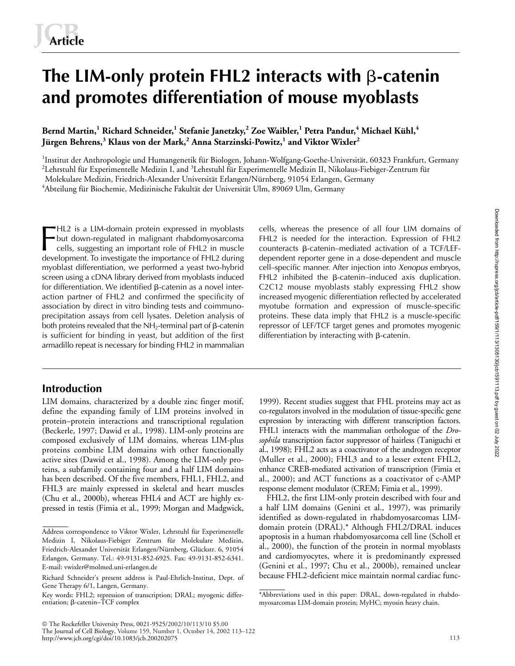# **The LIM-only protein FHL2 interacts with β-catenin and promotes differentiation of mouse myoblasts**

# **Bernd Martin,<sup>1</sup> Richard Schneider,<sup>1</sup> Stefanie Janetzky,<sup>2</sup> Zoe Waibler,<sup>1</sup> Petra Pandur,<sup>4</sup> Michael Kühl,<sup>4</sup> Jürgen Behrens,<sup>3</sup> Klaus von der Mark,<sup>2</sup> Anna Starzinski-Powitz,<sup>1</sup> and Viktor Wixler<sup>2</sup>**

<sup>1</sup>Institut der Anthropologie und Humangenetik für Biologen, Johann-Wolfgang-Goethe-Universität, 60323 Frankfurt, Germany  $^2$ Lehrstuhl für Experimentelle Medizin I, and  $^3$ Lehrstuhl für Experimentelle Medizin II, Nikolaus-Fiebiger-Zentrum für Molekulare Medizin, Friedrich-Alexander Universität Erlangen/Nürnberg, 91054 Erlangen, Germany 4 Abteilung für Biochemie, Medizinische Fakultät der Universität Ulm, 89069 Ulm, Germany

HL2 is a LIM-domain protein expressed in myoblasts but down-regulated in malignant rhabdomyosarcoma cells, suggesting an important role of FHL2 in muscle development. To investigate the importance of FHL2 during myoblast differentiation, we performed a yeast two-hybrid screen using a cDNA library derived from myoblasts induced for differentiation. We identified  $\beta$ -catenin as a novel interaction partner of FHL2 and confirmed the specificity of association by direct in vitro binding tests and coimmunoprecipitation assays from cell lysates. Deletion analysis of both proteins revealed that the NH $_2$ -terminal part of β-catenin is sufficient for binding in yeast, but addition of the first armadillo repeat is necessary for binding FHL2 in mammalian **FELL2** is a LIM-domain protein expressed in myoblasts cells, whereas the presence of all four LIM domains of but down-regulated in malignant rhabdomyosarcoma FHL2 is needed for the interaction. Expression of FHL2 cells,

# **Introduction**

LIM domains, characterized by a double zinc finger motif, define the expanding family of LIM proteins involved in protein–protein interactions and transcriptional regulation (Beckerle, 1997; Dawid et al., 1998). LIM-only proteins are composed exclusively of LIM domains, whereas LIM-plus proteins combine LIM domains with other functionally active sites (Dawid et al., 1998). Among the LIM-only proteins, a subfamily containing four and a half LIM domains has been described. Of the five members, FHL1, FHL2, and FHL3 are mainly expressed in skeletal and heart muscles (Chu et al., 2000b), whereas FHL4 and ACT are highly expressed in testis (Fimia et al., 1999; Morgan and Madgwick,

FHL2 is needed for the interaction. Expression of FHL2  $counteracts$   $\beta$ -catenin–mediated activation of a TCF/LEFdependent reporter gene in a dose-dependent and muscle cell–specific manner. After injection into *Xenopus* embryos,  $FHL2$  inhibited the  $\beta$ -catenin-induced axis duplication. C2C12 mouse myoblasts stably expressing FHL2 show increased myogenic differentiation reflected by accelerated myotube formation and expression of muscle-specific proteins. These data imply that FHL2 is a muscle-specific repressor of LEF/TCF target genes and promotes myogenic  $d$ ifferentiation by interacting with  $\beta$ -catenin.

1999). Recent studies suggest that FHL proteins may act as co-regulators involved in the modulation of tissue-specific gene expression by interacting with different transcription factors. FHL1 interacts with the mammalian orthologue of the *Drosophila* transcription factor suppressor of hairless (Taniguchi et al., 1998); FHL2 acts as a coactivator of the androgen receptor (Muller et al., 2000); FHL3 and to a lesser extent FHL2, enhance CREB-mediated activation of transcription (Fimia et al., 2000); and ACT functions as a coactivator of c-AMP response element modulator (CREM; Fimia et al., 1999).

FHL2, the first LIM-only protein described with four and a half LIM domains (Genini et al., 1997), was primarily identified as down-regulated in rhabdomyosarcomas LIMdomain protein (DRAL).\* Although FHL2/DRAL induces apoptosis in a human rhabdomyosarcoma cell line (Scholl et al., 2000), the function of the protein in normal myoblasts and cardiomyocytes, where it is predominantly expressed (Genini et al., 1997; Chu et al., 2000b), remained unclear because FHL2-deficient mice maintain normal cardiac func-

Address correspondence to Viktor Wixler, Lehrstuhl für Experimentelle Medizin I, Nikolaus-Fiebiger Zentrum für Molekulare Medizin, Friedrich-Alexander Universität Erlangen/Nürnberg, Glückstr. 6, 91054 Erlangen, Germany. Tel.: 49-9131-852-6925. Fax: 49-9131-852-6341. E-mail: vwixler@molmed.uni-erlangen.de

Richard Schneider's present address is Paul-Ehrlich-Institut, Dept. of Gene Therapy 6/1, Langen, Germany.

Key words: FHL2; repression of transcription; DRAL; myogenic differentiation; β-catenin–TCF complex

<sup>\*</sup>Abbreviations used in this paper: DRAL, down-regulated in rhabdomyosarcomas LIM-domain protein; MyHC; myosin heavy chain.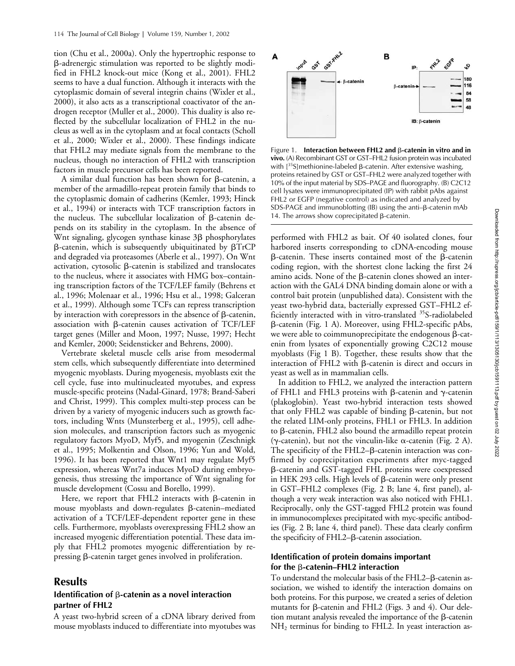tion (Chu et al., 2000a). Only the hypertrophic response to --adrenergic stimulation was reported to be slightly modified in FHL2 knock-out mice (Kong et al., 2001). FHL2 seems to have a dual function. Although it interacts with the cytoplasmic domain of several integrin chains (Wixler et al., 2000), it also acts as a transcriptional coactivator of the androgen receptor (Muller et al., 2000). This duality is also reflected by the subcellular localization of FHL2 in the nucleus as well as in the cytoplasm and at focal contacts (Scholl et al., 2000; Wixler et al., 2000). These findings indicate that FHL2 may mediate signals from the membrane to the nucleus, though no interaction of FHL2 with transcription factors in muscle precursor cells has been reported.

A similar dual function has been shown for  $\beta$ -catenin, a member of the armadillo-repeat protein family that binds to the cytoplasmic domain of cadherins (Kemler, 1993; Hinck et al., 1994) or interacts with TCF transcription factors in the nucleus. The subcellular localization of  $\beta$ -catenin depends on its stability in the cytoplasm. In the absence of Wnt signaling, glycogen synthase kinase 3ß phosphorylates β-catenin, which is subsequently ubiquitinated by βTrCP and degraded via proteasomes (Aberle et al., 1997). On Wnt activation, cytosolic  $\beta$ -catenin is stabilized and translocates to the nucleus, where it associates with HMG box–containing transcription factors of the TCF/LEF family (Behrens et al., 1996; Molenaar et al., 1996; Hsu et al., 1998; Galceran et al., 1999). Although some TCFs can repress transcription by interaction with corepressors in the absence of  $\beta$ -catenin, association with  $\beta$ -catenin causes activation of TCF/LEF target genes (Miller and Moon, 1997; Nusse, 1997; Hecht and Kemler, 2000; Seidensticker and Behrens, 2000).

Vertebrate skeletal muscle cells arise from mesodermal stem cells, which subsequently differentiate into determined myogenic myoblasts. During myogenesis, myoblasts exit the cell cycle, fuse into multinucleated myotubes, and express muscle-specific proteins (Nadal-Ginard, 1978; Brand-Saberi and Christ, 1999). This complex multi-step process can be driven by a variety of myogenic inducers such as growth factors, including Wnts (Munsterberg et al., 1995), cell adhesion molecules, and transcription factors such as myogenic regulatory factors MyoD, Myf5, and myogenin (Zeschnigk et al., 1995; Molkentin and Olson, 1996; Yun and Wold, 1996). It has been reported that Wnt1 may regulate Myf5 expression, whereas Wnt7a induces MyoD during embryogenesis, thus stressing the importance of Wnt signaling for muscle development (Cossu and Borello, 1999).

Here, we report that FHL2 interacts with  $\beta$ -catenin in mouse myoblasts and down-regulates  $\beta$ -catenin-mediated activation of a TCF/LEF-dependent reporter gene in these cells. Furthermore, myoblasts overexpressing FHL2 show an increased myogenic differentiation potential. These data imply that FHL2 promotes myogenic differentiation by repressing  $\beta$ -catenin target genes involved in proliferation.

# **Results**

### Identification of  $\beta$ -catenin as a novel interaction **partner of FHL2**

A yeast two-hybrid screen of a cDNA library derived from mouse myoblasts induced to differentiate into myotubes was



Figure 1. **Interaction between FHL2 and β-catenin in vitro and in vivo.** (A) Recombinant GST or GST–FHL2 fusion protein was incubated with  $[35S]$  methionine-labeled  $\beta$ -catenin. After extensive washing, proteins retained by GST or GST–FHL2 were analyzed together with 10% of the input material by SDS–PAGE and fluorography. (B) C2C12 cell lysates were immunoprecipitated (IP) with rabbit pAbs against FHL2 or EGFP (negative control) as indicated and analyzed by  $SDS-PAGE$  and immunoblotting (IB) using the anti- $\beta$ -catenin mAb 14. The arrows show coprecipitated  $\beta$ -catenin.

performed with FHL2 as bait. Of 40 isolated clones, four harbored inserts corresponding to cDNA-encoding mouse  $\beta$ -catenin. These inserts contained most of the  $\beta$ -catenin coding region, with the shortest clone lacking the first 24 amino acids. None of the  $\beta$ -catenin clones showed an interaction with the GAL4 DNA binding domain alone or with a control bait protein (unpublished data). Consistent with the yeast two-hybrid data, bacterially expressed GST–FHL2 efficiently interacted with in vitro-translated <sup>35</sup>S-radiolabeled --catenin (Fig. 1 A). Moreover, using FHL2-specific pAbs, we were able to coimmunoprecipitate the endogenous  $\beta$ -catenin from lysates of exponentially growing C2C12 mouse myoblasts (Fig 1 B). Together, these results show that the interaction of FHL2 with  $\beta$ -catenin is direct and occurs in yeast as well as in mammalian cells.

In addition to FHL2, we analyzed the interaction pattern of FHL1 and FHL3 proteins with  $\beta$ -catenin and  $\gamma$ -catenin (plakoglobin). Yeast two-hybrid interaction tests showed that only FHL2 was capable of binding  $\beta$ -catenin, but not the related LIM-only proteins, FHL1 or FHL3. In addition to  $\beta$ -catenin, FHL2 also bound the armadillo repeat protein  $(\gamma$ -catenin), but not the vinculin-like  $\alpha$ -catenin (Fig. 2 A). The specificity of the  $FHL2-\beta$ -catenin interaction was confirmed by coprecipitation experiments after myc-tagged --catenin and GST-tagged FHL proteins were coexpressed in HEK 293 cells. High levels of  $\beta$ -catenin were only present in GST–FHL2 complexes (Fig. 2 B; lane 4, first panel), although a very weak interaction was also noticed with FHL1. Reciprocally, only the GST-tagged FHL2 protein was found in immunocomplexes precipitated with myc-specific antibodies (Fig. 2 B; lane 4, third panel). These data clearly confirm the specificity of FHL2-B-catenin association.

### **Identification of protein domains important**  for the β-catenin–FHL2 interaction

To understand the molecular basis of the FHL2- $\beta$ -catenin association, we wished to identify the interaction domains on both proteins. For this purpose, we created a series of deletion mutants for  $\beta$ -catenin and FHL2 (Figs. 3 and 4). Our deletion mutant analysis revealed the importance of the  $\beta$ -catenin  $NH<sub>2</sub>$  terminus for binding to FHL2. In yeast interaction as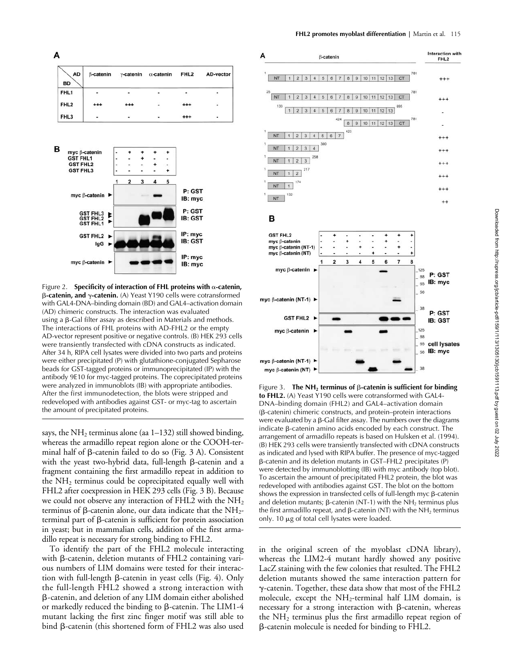A

| <b>AD</b><br><b>BD</b> | $\beta$ -catenin |     | $\gamma$ -catenin $\alpha$ -catenin | FHL <sub>2</sub> | AD-vector      |
|------------------------|------------------|-----|-------------------------------------|------------------|----------------|
| FHL1                   | ٠                | ٠   |                                     |                  |                |
| FHL <sub>2</sub>       | +++              | +++ | ¥                                   | +++              | ٠              |
| FHL <sub>3</sub>       | ä,               | ۰   |                                     | $^{++}$          | $\blacksquare$ |



Figure 2. **Specificity of interaction of FHL proteins with**  $\alpha$ **-catenin, β-catenin, and γ-catenin.** (A) Yeast Y190 cells were cotransformed with GAL4-DNA–binding domain (BD) and GAL4–activation domain (AD) chimeric constructs. The interaction was evaluated using a β-Gal filter assay as described in Materials and methods. The interactions of FHL proteins with AD-FHL2 or the empty AD-vector represent positive or negative controls. (B) HEK 293 cells were transiently transfected with cDNA constructs as indicated. After 34 h, RIPA cell lysates were divided into two parts and proteins were either precipitated (P) with glutathione-conjugated Sepharose beads for GST-tagged proteins or immunoprecipitated (IP) with the antibody 9E10 for myc-tagged proteins. The coprecipitated proteins were analyzed in immunoblots (IB) with appropriate antibodies. After the first immunodetection, the blots were stripped and redeveloped with antibodies against GST- or myc-tag to ascertain the amount of precipitated proteins.

says, the NH<sub>2</sub> terminus alone (aa  $1-132$ ) still showed binding, whereas the armadillo repeat region alone or the COOH-terminal half of  $\beta$ -catenin failed to do so (Fig. 3 A). Consistent with the yeast two-hybrid data, full-length ß-catenin and a fragment containing the first armadillo repeat in addition to the  $NH<sub>2</sub>$  terminus could be coprecipitated equally well with FHL2 after coexpression in HEK 293 cells (Fig. 3 B). Because we could not observe any interaction of FHL2 with the NH<sub>2</sub> terminus of  $\beta$ -catenin alone, our data indicate that the NH<sub>2</sub>terminal part of  $\beta$ -catenin is sufficient for protein association in yeast; but in mammalian cells, addition of the first armadillo repeat is necessary for strong binding to FHL2.

To identify the part of the FHL2 molecule interacting with  $\beta$ -catenin, deletion mutants of FHL2 containing various numbers of LIM domains were tested for their interaction with full-length  $\beta$ -catenin in yeast cells (Fig. 4). Only the full-length FHL2 showed a strong interaction with --catenin, and deletion of any LIM domain either abolished or markedly reduced the binding to  $\beta$ -catenin. The LIM1-4 mutant lacking the first zinc finger motif was still able to bind  $\beta$ -catenin (this shortened form of FHL2 was also used



в



Figure 3. The  $NH<sub>2</sub>$  terminus of  $\beta$ -catenin is sufficient for binding **to FHL2.** (A) Yeast Y190 cells were cotransformed with GAL4- DNA–binding domain (FHL2) and GAL4–activation domain (B-catenin) chimeric constructs, and protein-protein interactions were evaluated by a  $\beta$ -Gal filter assay. The numbers over the diagrams indicate  $\beta$ -catenin amino acids encoded by each construct. The arrangement of armadillo repeats is based on Hulsken et al. (1994). (B) HEK 293 cells were transiently transfected with cDNA constructs as indicated and lysed with RIPA buffer. The presence of myc-tagged --catenin and its deletion mutants in GST–FHL2 precipitates (P) were detected by immunoblotting (IB) with myc antibody (top blot). To ascertain the amount of precipitated FHL2 protein, the blot was redeveloped with antibodies against GST. The blot on the bottom shows the expression in transfected cells of full-length myc  $\beta$ -catenin and deletion mutants;  $\beta$ -catenin (NT-1) with the NH<sub>2</sub> terminus plus the first armadillo repeat, and  $\beta$ -catenin (NT) with the NH<sub>2</sub> terminus only. 10  $\mu$ g of total cell lysates were loaded.

in the original screen of the myoblast cDNA library), whereas the LIM2-4 mutant hardly showed any positive LacZ staining with the few colonies that resulted. The FHL2 deletion mutants showed the same interaction pattern for  $\gamma$ -catenin. Together, these data show that most of the FHL2 molecule, except the  $NH_2$ -terminal half LIM domain, is necessary for a strong interaction with  $\beta$ -catenin, whereas the  $NH<sub>2</sub>$  terminus plus the first armadillo repeat region of --catenin molecule is needed for binding to FHL2.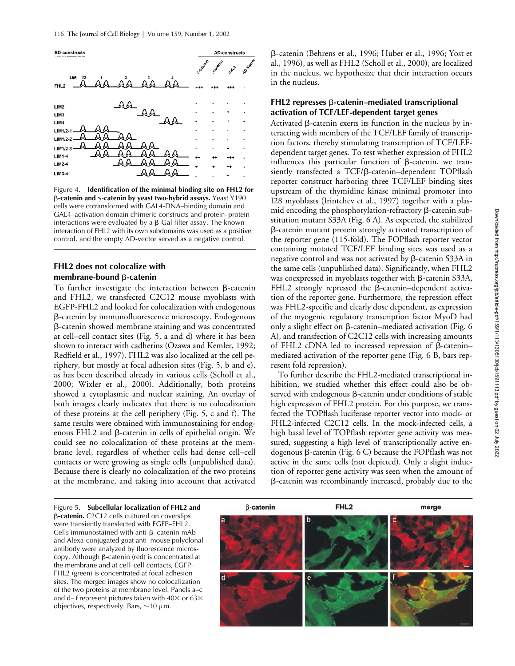

Figure 4. **Identification of the minimal binding site on FHL2 for**  -**-catenin and -catenin by yeast two-hybrid assays.** Yeast Y190 cells were cotransformed with GAL4-DNA–binding domain and GAL4–activation domain chimeric constructs and protein–protein interactions were evaluated by a  $\beta$ -Gal filter assay. The known interaction of FHL2 with its own subdomains was used as a positive control, and the empty AD-vector served as a negative control.

# **FHL2 does not colocalize with**  membrane-bound β-catenin

To further investigate the interaction between  $\beta$ -catenin and FHL2, we transfected C2C12 mouse myoblasts with EGFP-FHL2 and looked for colocalization with endogenous --catenin by immunofluorescence microscopy. Endogenous --catenin showed membrane staining and was concentrated at cell–cell contact sites (Fig. 5, a and d) where it has been shown to interact with cadherins (Ozawa and Kemler, 1992; Redfield et al., 1997). FHL2 was also localized at the cell periphery, but mostly at focal adhesion sites (Fig. 5, b and e), as has been described already in various cells (Scholl et al., 2000; Wixler et al., 2000). Additionally, both proteins showed a cytoplasmic and nuclear staining. An overlay of both images clearly indicates that there is no colocalization of these proteins at the cell periphery (Fig. 5, c and f). The same results were obtained with immunostaining for endogenous FHL2 and  $\beta$ -catenin in cells of epithelial origin. We could see no colocalization of these proteins at the membrane level, regardless of whether cells had dense cell–cell contacts or were growing as single cells (unpublished data). Because there is clearly no colocalization of the two proteins at the membrane, and taking into account that activated

--catenin (Behrens et al., 1996; Huber et al., 1996; Yost et al., 1996), as well as FHL2 (Scholl et al., 2000), are localized in the nucleus, we hypothesize that their interaction occurs in the nucleus.

### **FHL2 represses β-catenin–mediated transcriptional activation of TCF/LEF-dependent target genes**

Activated  $\beta$ -catenin exerts its function in the nucleus by interacting with members of the TCF/LEF family of transcription factors, thereby stimulating transcription of TCF/LEFdependent target genes. To test whether expression of FHL2 influences this particular function of  $\beta$ -catenin, we transiently transfected a TCF/ß-catenin-dependent TOPflash reporter construct harboring three TCF/LEF binding sites upstream of the thymidine kinase minimal promoter into I28 myoblasts (Irintchev et al., 1997) together with a plasmid encoding the phosphorylation-refractory  $\beta$ -catenin substitution mutant S33A (Fig. 6 A). As expected, the stabilized --catenin mutant protein strongly activated transcription of the reporter gene (115-fold). The FOPflash reporter vector containing mutated TCF/LEF binding sites was used as a negative control and was not activated by  $\beta$ -catenin S33A in the same cells (unpublished data). Significantly, when FHL2 was coexpressed in myoblasts together with  $\beta$ -catenin S33A,  $FHL2$  strongly repressed the  $\beta$ -catenin-dependent activation of the reporter gene. Furthermore, the repression effect was FHL2-specific and clearly dose dependent, as expression of the myogenic regulatory transcription factor MyoD had only a slight effect on  $\beta$ -catenin–mediated activation (Fig. 6 A), and transfection of C2C12 cells with increasing amounts of FHL2 cDNA led to increased repression of  $\beta$ -cateninmediated activation of the reporter gene (Fig. 6 B, bars represent fold repression).

To further describe the FHL2-mediated transcriptional inhibition, we studied whether this effect could also be observed with endogenous  $\beta$ -catenin under conditions of stable high expression of FHL2 protein. For this purpose, we transfected the TOPflash luciferase reporter vector into mock- or FHL2-infected C2C12 cells. In the mock-infected cells, a high basal level of TOPflash reporter gene activity was measured, suggesting a high level of transcriptionally active endogenous ß-catenin (Fig. 6 C) because the FOPflash was not active in the same cells (not depicted). Only a slight induction of reporter gene activity was seen when the amount of --catenin was recombinantly increased, probably due to the

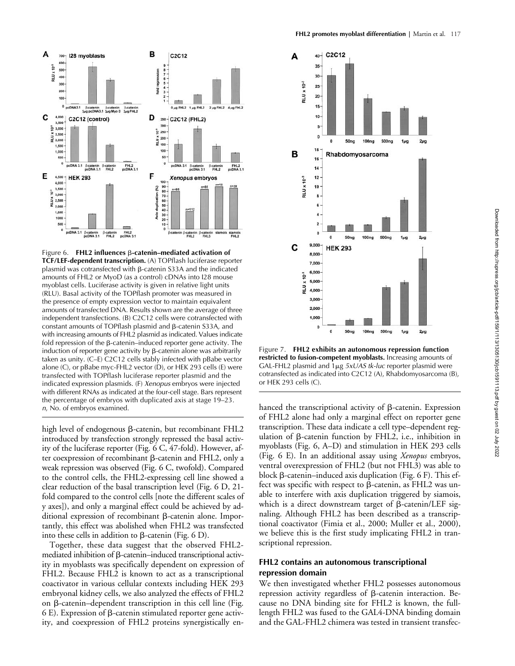

Figure 6. FHL2 influences  $\beta$ -catenin–mediated activation of **TCF/LEF-dependent transcription.** (A) TOPflash luciferase reporter plasmid was cotransfected with β-catenin S33A and the indicated amounts of FHL2 or MyoD (as a control) cDNAs into I28 mouse myoblast cells. Luciferase activity is given in relative light units (RLU). Basal activity of the TOPflash promoter was measured in the presence of empty expression vector to maintain equivalent amounts of transfected DNA. Results shown are the average of three independent transfections. (B) C2C12 cells were cotransfected with constant amounts of TOPflash plasmid and  $\beta$ -catenin S33A, and with increasing amounts of FHL2 plasmid as indicated. Values indicate fold repression of the  $\beta$ -catenin–induced reporter gene activity. The induction of reporter gene activity by  $\beta$ -catenin alone was arbitrarily taken as unity. (C–E) C2C12 cells stably infected with pBabe vector alone (C), or pBabe myc-FHL2 vector (D), or HEK 293 cells (E) were transfected with TOPflash luciferase reporter plasmid and the indicated expression plasmids. (F) *Xenopus* embryos were injected with different RNAs as indicated at the four-cell stage. Bars represent the percentage of embryos with duplicated axis at stage 19–23. *n*, No. of embryos examined.

high level of endogenous  $\beta$ -catenin, but recombinant FHL2 introduced by transfection strongly repressed the basal activity of the luciferase reporter (Fig. 6 C, 47-fold). However, after coexpression of recombinant  $\beta$ -catenin and FHL2, only a weak repression was observed (Fig. 6 C, twofold). Compared to the control cells, the FHL2-expressing cell line showed a clear reduction of the basal transcription level (Fig. 6 D, 21 fold compared to the control cells [note the different scales of y axes]), and only a marginal effect could be achieved by additional expression of recombinant ß-catenin alone. Importantly, this effect was abolished when FHL2 was transfected into these cells in addition to  $\beta$ -catenin (Fig. 6 D).

Together, these data suggest that the observed FHL2 mediated inhibition of  $\beta$ -catenin-induced transcriptional activity in myoblasts was specifically dependent on expression of FHL2. Because FHL2 is known to act as a transcriptional coactivator in various cellular contexts including HEK 293 embryonal kidney cells, we also analyzed the effects of FHL2 on  $\beta$ -catenin–dependent transcription in this cell line (Fig.  $6$  E). Expression of  $\beta$ -catenin stimulated reporter gene activity, and coexpression of FHL2 proteins synergistically en-



**FHL2 promotes myoblast differentiation |** Martin et al. 117

Figure 7. **FHL2 exhibits an autonomous repression function restricted to fusion-competent myoblasts.** Increasing amounts of GAL-FHL2 plasmid and 1μg 5xUAS tk-luc reporter plasmid were cotransfected as indicated into C2C12 (A), Rhabdomyosarcoma (B), or HEK 293 cells (C).

hanced the transcriptional activity of  $\beta$ -catenin. Expression of FHL2 alone had only a marginal effect on reporter gene transcription. These data indicate a cell type–dependent regulation of  $\beta$ -catenin function by FHL2, i.e., inhibition in myoblasts (Fig. 6, A–D) and stimulation in HEK 293 cells (Fig. 6 E). In an additional assay using *Xenopus* embryos, ventral overexpression of FHL2 (but not FHL3) was able to block β-catenin–induced axis duplication (Fig. 6 F). This effect was specific with respect to  $\beta$ -catenin, as FHL2 was unable to interfere with axis duplication triggered by siamois, which is a direct downstream target of  $\beta$ -catenin/LEF signaling. Although FHL2 has been described as a transcriptional coactivator (Fimia et al., 2000; Muller et al., 2000), we believe this is the first study implicating FHL2 in transcriptional repression.

### **FHL2 contains an autonomous transcriptional repression domain**

We then investigated whether FHL2 possesses autonomous repression activity regardless of  $\beta$ -catenin interaction. Because no DNA binding site for FHL2 is known, the fulllength FHL2 was fused to the GAL4-DNA binding domain and the GAL-FHL2 chimera was tested in transient transfec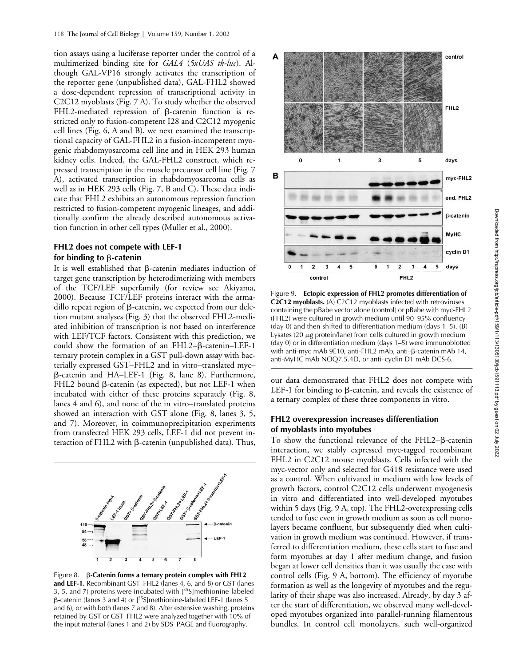tion assays using a luciferase reporter under the control of a multimerized binding site for *GAL4* (*5xUAS tk-luc*). Although GAL-VP16 strongly activates the transcription of the reporter gene (unpublished data), GAL-FHL2 showed a dose-dependent repression of transcriptional activity in C2C12 myoblasts (Fig. 7 A). To study whether the observed  $FHL2$ -mediated repression of  $\beta$ -catenin function is restricted only to fusion-competent I28 and C2C12 myogenic cell lines (Fig. 6, A and B), we next examined the transcriptional capacity of GAL-FHL2 in a fusion-incompetent myogenic rhabdomyosarcoma cell line and in HEK 293 human kidney cells. Indeed, the GAL-FHL2 construct, which repressed transcription in the muscle precursor cell line (Fig. 7 A), activated transcription in rhabdomyosarcoma cells as well as in HEK 293 cells (Fig. 7, B and C). These data indicate that FHL2 exhibits an autonomous repression function restricted to fusion-competent myogenic lineages, and additionally confirm the already described autonomous activation function in other cell types (Muller et al., 2000).

# **FHL2 does not compete with LEF-1**  for binding to *β***-catenin**

It is well established that  $\beta$ -catenin mediates induction of target gene transcription by heterodimerizing with members of the TCF/LEF superfamily (for review see Akiyama, 2000). Because TCF/LEF proteins interact with the armadillo repeat region of  $\beta$ -catenin, we expected from our deletion mutant analyses (Fig. 3) that the observed FHL2-mediated inhibition of transcription is not based on interference with LEF/TCF factors. Consistent with this prediction, we could show the formation of an FHL2- $\beta$ -catenin-LEF-1 ternary protein complex in a GST pull-down assay with bacterially expressed GST–FHL2 and in vitro–translated myc– --catenin and HA–LEF-1 (Fig. 8, lane 8). Furthermore, FHL2 bound  $\beta$ -catenin (as expected), but not LEF-1 when incubated with either of these proteins separately (Fig. 8, lanes 4 and 6), and none of the in vitro–translated proteins showed an interaction with GST alone (Fig. 8, lanes 3, 5, and 7). Moreover, in coimmunoprecipitation experiments from transfected HEK 293 cells, LEF-1 did not prevent interaction of FHL2 with  $\beta$ -catenin (unpublished data). Thus,



Figure 8. **β-Catenin forms a ternary protein complex with FHL2 and LEF-1.** Recombinant GST–FHL2 (lanes 4, 6, and 8) or GST (lanes 3, 5, and 7) proteins were incubated with  $[35S]$ methionine-labeled  $\beta$ -catenin (lanes 3 and 4) or  $[^{35}S]$ methionine-labeled LEF-1 (lanes 5 and 6), or with both (lanes 7 and 8). After extensive washing, proteins retained by GST or GST–FHL2 were analyzed together with 10% of the input material (lanes 1 and 2) by SDS–PAGE and fluorography.



Figure 9. **Ectopic expression of FHL2 promotes differentiation of C2C12 myoblasts.** (A) C2C12 myoblasts infected with retroviruses containing the pBabe vector alone (control) or pBabe with myc-FHL2 (FHL2) were cultured in growth medium until 90–95% confluency (day 0) and then shifted to differentiation medium (days  $1-5$ ). (B) Lysates (20  $\mu$ g protein/lane) from cells cultured in growth medium (day 0) or in differentiation medium (days 1–5) were immunoblotted with anti-myc mAb 9E10, anti-FHL2 mAb, anti–β-catenin mAb 14, anti-MyHC mAb NOQ7.5.4D, or anti–cyclin D1 mAb DCS-6.

our data demonstrated that FHL2 does not compete with LEF-1 for binding to  $\beta$ -catenin, and reveals the existence of a ternary complex of these three components in vitro.

## **FHL2 overexpression increases differentiation of myoblasts into myotubes**

To show the functional relevance of the FHL2- $\beta$ -catenin interaction, we stably expressed myc-tagged recombinant FHL2 in C2C12 mouse myoblasts. Cells infected with the myc-vector only and selected for G418 resistance were used as a control. When cultivated in medium with low levels of growth factors, control C2C12 cells underwent myogenesis in vitro and differentiated into well-developed myotubes within 5 days (Fig. 9 A, top). The FHL2-overexpressing cells tended to fuse even in growth medium as soon as cell monolayers became confluent, but subsequently died when cultivation in growth medium was continued. However, if transferred to differentiation medium, these cells start to fuse and form myotubes at day 1 after medium change, and fusion began at lower cell densities than it was usually the case with control cells (Fig. 9 A, bottom). The efficiency of myotube formation as well as the longevity of myotubes and the regularity of their shape was also increased. Already, by day 3 after the start of differentiation, we observed many well-developed myotubes organized into parallel-running filamentous bundles. In control cell monolayers, such well-organized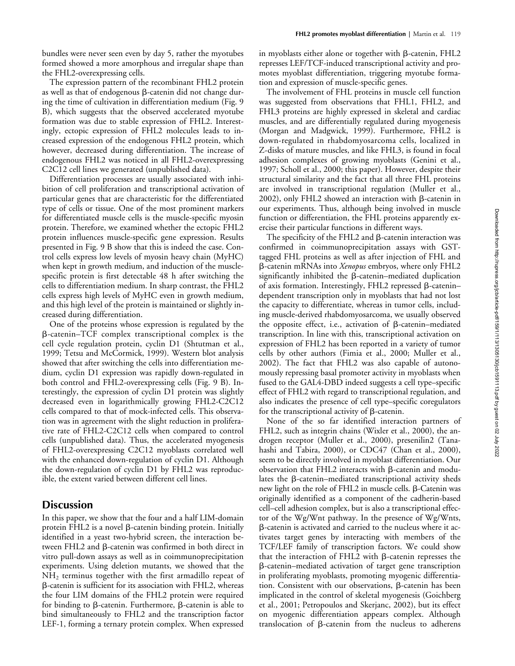bundles were never seen even by day 5, rather the myotubes formed showed a more amorphous and irregular shape than the FHL2-overexpressing cells.

The expression pattern of the recombinant FHL2 protein as well as that of endogenous  $\beta$ -catenin did not change during the time of cultivation in differentiation medium (Fig. 9 B), which suggests that the observed accelerated myotube formation was due to stable expression of FHL2. Interestingly, ectopic expression of FHL2 molecules leads to increased expression of the endogenous FHL2 protein, which however, decreased during differentiation. The increase of endogenous FHL2 was noticed in all FHL2-overexpressing C2C12 cell lines we generated (unpublished data).

Differentiation processes are usually associated with inhibition of cell proliferation and transcriptional activation of particular genes that are characteristic for the differentiated type of cells or tissue. One of the most prominent markers for differentiated muscle cells is the muscle-specific myosin protein. Therefore, we examined whether the ectopic FHL2 protein influences muscle-specific gene expression. Results presented in Fig. 9 B show that this is indeed the case. Control cells express low levels of myosin heavy chain (MyHC) when kept in growth medium, and induction of the musclespecific protein is first detectable 48 h after switching the cells to differentiation medium. In sharp contrast, the FHL2 cells express high levels of MyHC even in growth medium, and this high level of the protein is maintained or slightly increased during differentiation.

One of the proteins whose expression is regulated by the --catenin–TCF complex transcriptional complex is the cell cycle regulation protein, cyclin D1 (Shtutman et al., 1999; Tetsu and McCormick, 1999). Western blot analysis showed that after switching the cells into differentiation medium, cyclin D1 expression was rapidly down-regulated in both control and FHL2-overexpressing cells (Fig. 9 B). Interestingly, the expression of cyclin D1 protein was slightly decreased even in logarithmically growing FHL2-C2C12 cells compared to that of mock-infected cells. This observation was in agreement with the slight reduction in proliferative rate of FHL2-C2C12 cells when compared to control cells (unpublished data). Thus, the accelerated myogenesis of FHL2-overexpressing C2C12 myoblasts correlated well with the enhanced down-regulation of cyclin D1. Although the down-regulation of cyclin D1 by FHL2 was reproducible, the extent varied between different cell lines.

# **Discussion**

In this paper, we show that the four and a half LIM-domain protein FHL2 is a novel  $\beta$ -catenin binding protein. Initially identified in a yeast two-hybrid screen, the interaction between FHL2 and  $\beta$ -catenin was confirmed in both direct in vitro pull-down assays as well as in coimmunoprecipitation experiments. Using deletion mutants, we showed that the  $NH<sub>2</sub>$  terminus together with the first armadillo repeat of --catenin is sufficient for its association with FHL2, whereas the four LIM domains of the FHL2 protein were required for binding to  $\beta$ -catenin. Furthermore,  $\beta$ -catenin is able to bind simultaneously to FHL2 and the transcription factor LEF-1, forming a ternary protein complex. When expressed in myoblasts either alone or together with  $\beta$ -catenin, FHL2 represses LEF/TCF-induced transcriptional activity and promotes myoblast differentiation, triggering myotube formation and expression of muscle-specific genes.

The involvement of FHL proteins in muscle cell function was suggested from observations that FHL1, FHL2, and FHL3 proteins are highly expressed in skeletal and cardiac muscles, and are differentially regulated during myogenesis (Morgan and Madgwick, 1999). Furthermore, FHL2 is down-regulated in rhabdomyosarcoma cells, localized in Z-disks of mature muscles, and like FHL3, is found in focal adhesion complexes of growing myoblasts (Genini et al., 1997; Scholl et al., 2000; this paper). However, despite their structural similarity and the fact that all three FHL proteins are involved in transcriptional regulation (Muller et al., 2002), only FHL2 showed an interaction with  $\beta$ -catenin in our experiments. Thus, although being involved in muscle function or differentiation, the FHL proteins apparently exercise their particular functions in different ways.

The specificity of the FHL2 and  $\beta$ -catenin interaction was confirmed in coimmunoprecipitation assays with GSTtagged FHL proteins as well as after injection of FHL and --catenin mRNAs into *Xenopus* embryos, where only FHL2 significantly inhibited the ß-catenin–mediated duplication of axis formation. Interestingly, FHL2 repressed  $\beta$ -catenindependent transcription only in myoblasts that had not lost the capacity to differentiate, whereas in tumor cells, including muscle-derived rhabdomyosarcoma, we usually observed the opposite effect, i.e., activation of  $\beta$ -catenin-mediated transcription. In line with this, transcriptional activation on expression of FHL2 has been reported in a variety of tumor cells by other authors (Fimia et al., 2000; Muller et al., 2002). The fact that FHL2 was also capable of autonomously repressing basal promoter activity in myoblasts when fused to the GAL4-DBD indeed suggests a cell type–specific effect of FHL2 with regard to transcriptional regulation, and also indicates the presence of cell type–specific coregulators for the transcriptional activity of  $\beta$ -catenin.

None of the so far identified interaction partners of FHL2, such as integrin chains (Wixler et al., 2000), the androgen receptor (Muller et al., 2000), presenilin2 (Tanahashi and Tabira, 2000), or CDC47 (Chan et al., 2000), seem to be directly involved in myoblast differentiation. Our observation that FHL2 interacts with  $\beta$ -catenin and modulates the  $\beta$ -catenin–mediated transcriptional activity sheds new light on the role of FHL2 in muscle cells. β-Catenin was originally identified as a component of the cadherin-based cell–cell adhesion complex, but is also a transcriptional effector of the Wg/Wnt pathway. In the presence of Wg/Wnts, --catenin is activated and carried to the nucleus where it activates target genes by interacting with members of the TCF/LEF family of transcription factors. We could show that the interaction of FHL2 with  $\beta$ -catenin represses the --catenin–mediated activation of target gene transcription in proliferating myoblasts, promoting myogenic differentiation. Consistent with our observations,  $\beta$ -catenin has been implicated in the control of skeletal myogenesis (Goichberg et al., 2001; Petropoulos and Skerjanc, 2002), but its effect on myogenic differentiation appears complex. Although translocation of  $\beta$ -catenin from the nucleus to adherens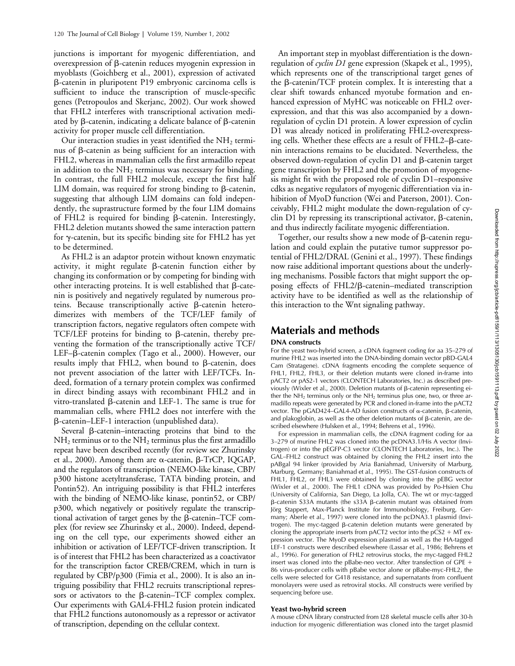junctions is important for myogenic differentiation, and overexpression of  $\beta$ -catenin reduces myogenin expression in myoblasts (Goichberg et al., 2001), expression of activated --catenin in pluripotent P19 embryonic carcinoma cells is sufficient to induce the transcription of muscle-specific genes (Petropoulos and Skerjanc, 2002). Our work showed that FHL2 interferes with transcriptional activation mediated by  $\beta$ -catenin, indicating a delicate balance of  $\beta$ -catenin activity for proper muscle cell differentiation.

Our interaction studies in yeast identified the  $NH<sub>2</sub>$  terminus of  $\beta$ -catenin as being sufficient for an interaction with FHL2, whereas in mammalian cells the first armadillo repeat in addition to the  $NH<sub>2</sub>$  terminus was necessary for binding. In contrast, the full FHL2 molecule, except the first half LIM domain, was required for strong binding to  $\beta$ -catenin, suggesting that although LIM domains can fold independently, the suprastructure formed by the four LIM domains of FHL2 is required for binding  $\beta$ -catenin. Interestingly, FHL2 deletion mutants showed the same interaction pattern for  $\gamma$ -catenin, but its specific binding site for FHL2 has yet to be determined.

As FHL2 is an adaptor protein without known enzymatic activity, it might regulate  $\beta$ -catenin function either by changing its conformation or by competing for binding with other interacting proteins. It is well established that  $\beta$ -catenin is positively and negatively regulated by numerous pro $t e$ ins. Because transcriptionally active  $\beta$ -catenin heterodimerizes with members of the TCF/LEF family of transcription factors, negative regulators often compete with TCF/LEF proteins for binding to  $\beta$ -catenin, thereby preventing the formation of the transcriptionally active TCF/ LEF- $\beta$ -catenin complex (Tago et al., 2000). However, our results imply that FHL2, when bound to  $\beta$ -catenin, does not prevent association of the latter with LEF/TCFs. Indeed, formation of a ternary protein complex was confirmed in direct binding assays with recombinant FHL2 and in vitro-translated ß-catenin and LEF-1. The same is true for mammalian cells, where FHL2 does not interfere with the --catenin–LEF-1 interaction (unpublished data).

Several ß-catenin-interacting proteins that bind to the  $NH<sub>2</sub>$  terminus or to the  $NH<sub>2</sub>$  terminus plus the first armadillo repeat have been described recently (for review see Zhurinsky et al., 2000). Among them are  $\alpha$ -catenin,  $\beta$ -TrCP, IQGAP, and the regulators of transcription (NEMO-like kinase, CBP/ p300 histone acetyltransferase, TATA binding protein, and Pontin52). An intriguing possibility is that FHL2 interferes with the binding of NEMO-like kinase, pontin52, or CBP/ p300, which negatively or positively regulate the transcriptional activation of target genes by the  $\beta$ -catenin-TCF complex (for review see Zhurinsky et al., 2000). Indeed, depending on the cell type, our experiments showed either an inhibition or activation of LEF/TCF-driven transcription. It is of interest that FHL2 has been characterized as a coactivator for the transcription factor CREB/CREM, which in turn is regulated by CBP/p300 (Fimia et al., 2000). It is also an intriguing possibility that FHL2 recruits transcriptional repressors or activators to the  $\beta$ -catenin-TCF complex complex. Our experiments with GAL4-FHL2 fusion protein indicated that FHL2 functions autonomously as a repressor or activator of transcription, depending on the cellular context.

An important step in myoblast differentiation is the downregulation of *cyclin D1* gene expression (Skapek et al., 1995), which represents one of the transcriptional target genes of the  $\beta$ -catenin/TCF protein complex. It is interesting that a clear shift towards enhanced myotube formation and enhanced expression of MyHC was noticeable on FHL2 overexpression, and that this was also accompanied by a downregulation of cyclin D1 protein. A lower expression of cyclin D1 was already noticed in proliferating FHL2-overexpressing cells. Whether these effects are a result of  $FHL2-\beta$ -catenin interactions remains to be elucidated. Nevertheless, the observed down-regulation of cyclin D1 and  $\beta$ -catenin target gene transcription by FHL2 and the promotion of myogenesis might fit with the proposed role of cyclin D1–responsive cdks as negative regulators of myogenic differentiation via inhibition of MyoD function (Wei and Paterson, 2001). Conceivably, FHL2 might modulate the down-regulation of cy $clin D1$  by repressing its transcriptional activator,  $\beta$ -catenin, and thus indirectly facilitate myogenic differentiation.

Together, our results show a new mode of  $\beta$ -catenin regulation and could explain the putative tumor suppressor potential of FHL2/DRAL (Genini et al., 1997). These findings now raise additional important questions about the underlying mechanisms. Possible factors that might support the opposing effects of FHL2/ß-catenin-mediated transcription activity have to be identified as well as the relationship of this interaction to the Wnt signaling pathway.

# **Materials and methods**

### **DNA constructs**

For the yeast two-hybrid screen, a cDNA fragment coding for aa 35–279 of murine FHL2 was inserted into the DNA-binding domain vector pBD-GAL4 Cam (Stratagene). cDNA fragments encoding the complete sequence of FHL1, FHL2, FHL3, or their deletion mutants were cloned in-frame into pACT2 or pAS2-1 vectors (CLONTECH Laboratories, Inc.) as described previously (Wixler et al., 2000). Deletion mutants of  $\beta$ -catenin representing either the NH<sub>2</sub> terminus only or the NH<sub>2</sub> terminus plus one, two, or three armadillo repeats were generated by PCR and cloned in-frame into the pACT2 vector. The pGAD424-GAL4-AD fusion constructs of  $\alpha$ -catenin,  $\beta$ -catenin, and plakoglobin, as well as the other deletion mutants of  $\beta$ -catenin, are described elsewhere (Hulsken et al., 1994; Behrens et al., 1996).

For expression in mammalian cells, the cDNA fragment coding for aa 3–279 of murine FHL2 was cloned into the pcDNA3.1/His A vector (Invitrogen) or into the pEGFP-C3 vector (CLONTECH Laboratories, Inc.). The GAL–FHL2 construct was obtained by cloning the FHL2 insert into the pABgal 94 linker (provided by Aria Baniahmad, University of Marburg, Marburg, Germany; Baniahmad et al., 1995). The GST-fusion constructs of FHL1, FHL2, or FHL3 were obtained by cloning into the pEBG vector (Wixler et al., 2000). The FHL1 cDNA was provided by Po-Hsien Chu (University of California, San Diego, La Jolla, CA). The wt or myc-tagged  $\beta$ -catenin S33A mutants (the s33A  $\beta$ -catenin mutant was obtained from Jörg Stappert, Max-Planck Institute for Immunobiology, Freiburg, Germany; Aberle et al., 1997) were cloned into the pcDNA3.1 plasmid (Invitrogen). The myc-tagged β-catenin deletion mutants were generated by cloning the appropriate inserts from pACT2 vector into the  $pCS2 + MT$  expression vector. The MyoD expression plasmid as well as the HA-tagged LEF-1 constructs were described elsewhere (Lassar et al., 1986; Behrens et al., 1996). For generation of FHL2 retrovirus stocks, the myc-tagged FHL2 insert was cloned into the pBabe-neo vector. After transfection of GPE 86 virus-producer cells with pBabe vector alone or pBabe-myc-FHL2, the cells were selected for G418 resistance, and supernatants from confluent monolayers were used as retroviral stocks. All constructs were verified by sequencing before use.

### **Yeast two-hybrid screen**

A mouse cDNA library constructed from I28 skeletal muscle cells after 30-h induction for myogenic differentiation was cloned into the target plasmid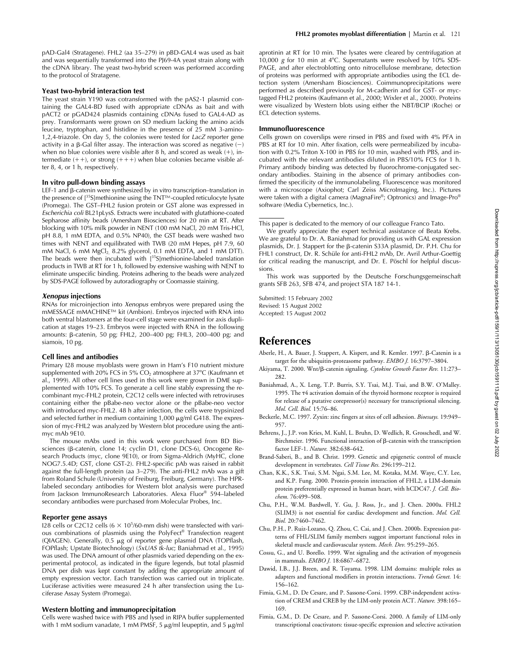pAD-Gal4 (Stratagene). FHL2 (aa 35–279) in pBD-GAL4 was used as bait and was sequentially transformed into the PJ69-4A yeast strain along with the cDNA library. The yeast two-hybrid screen was performed according to the protocol of Stratagene.

#### **Yeast two-hybrid interaction test**

The yeast strain Y190 was cotransformed with the pAS2-1 plasmid containing the GAL4-BD fused with appropriate cDNAs as bait and with pACT2 or pGAD424 plasmids containing cDNAs fused to GAL4-AD as prey. Transformants were grown on SD medium lacking the amino acids leucine, tryptophan, and histidine in the presence of 25 mM 3-amino-1,2,4-triazole. On day 5, the colonies were tested for *LacZ* reporter gene activity in a  $\beta$ -Gal filter assay. The interaction was scored as negative  $(-)$ when no blue colonies were visible after 8 h, and scored as weak  $(+)$ , intermediate  $(++)$ , or strong  $(+++)$  when blue colonies became visible after 8, 4, or 1 h, respectively.

#### **In vitro pull-down binding assays**

LEF-1 and  $\beta$ -catenin were synthesized by in vitro transcription-translation in the presence of [35S]methionine using the TNT™-coupled reticulocyte lysate (Promega). The GST–FHL2 fusion protein or GST alone was expressed in *Escherichia coli* BL21pLysS. Extracts were incubated with glutathione-coated Sepharose affinity beads (Amersham Biosciences) for 20 min at RT. After blocking with 10% milk powder in NENT (100 mM NaCl, 20 mM Tris-HCl, pH 8.8, 1 mM EDTA, and 0.5% NP40), the GST beads were washed two times with NENT and equilibrated with TWB (20 mM Hepes, pH 7.9, 60 mM NaCl, 6 mM  $MgCl<sub>2</sub>$  8.2% glycerol, 0.1 mM EDTA, and 1 mM DTT). The beads were then incubated with  $[35S]$ methionine-labeled translation products in TWB at RT for 1 h, followed by extensive washing with NENT to eliminate unspecific binding. Proteins adhering to the beads were analyzed by SDS-PAGE followed by autoradiography or Coomassie staining.

#### *Xenopus* **injections**

RNAs for microinjection into *Xenopus* embryos were prepared using the mMESSAGE mMACHINE™ kit (Ambion). Embryos injected with RNA into both ventral blastomers at the four-cell stage were examined for axis duplication at stages 19–23. Embryos were injected with RNA in the following amounts: β-catenin, 50 pg; FHL2, 200–400 pg; FHL3, 200–400 pg; and siamois, 10 pg.

#### **Cell lines and antibodies**

Primary I28 mouse myoblasts were grown in Ham's F10 nutrient mixture supplemented with 20% FCS in 5%  $CO<sub>2</sub>$  atmosphere at 37°C (Kaufmann et al., 1999). All other cell lines used in this work were grown in DME supplemented with 10% FCS. To generate a cell line stably expressing the recombinant myc-FHL2 protein, C2C12 cells were infected with retroviruses containing either the pBabe-neo vector alone or the pBabe-neo vector with introduced myc-FHL2. 48 h after infection, the cells were trypsinized and selected further in medium containing  $1,000 \mu g/ml G418$ . The expression of myc-FHL2 was analyzed by Western blot procedure using the antimyc mAb 9E10.

The mouse mAbs used in this work were purchased from BD Biosciences (β-catenin, clone 14; cyclin D1, clone DCS-6), Oncogene Research Products (myc, clone 9E10), or from Sigma-Aldrich (MyHC, clone NOG7.5.4D; GST, clone GST-2). FHL2-specific pAb was raised in rabbit against the full-length protein (aa 3–279). The anti-FHL2 mAb was a gift from Roland Schule (University of Freiburg, Freiburg, Germany). The HPRlabeled secondary antibodies for Western blot analysis were purchased from Jackson ImmunoResearch Laboratories. Alexa Fluor® 594–labeled secondary antibodies were purchased from Molecular Probes, Inc.

### **Reporter gene assays**

128 cells or C2C12 cells  $(6 \times 10^5/60$ -mm dish) were transfected with various combinations of plasmids using the PolyFect® Transfection reagent (QIAGEN). Generally, 0.5 µg of reporter gene plasmid DNA (TOPflash, FOPflash; Upstate Biotechnology) (*5xUAS tk-luc*; Baniahmad et al., 1995) was used. The DNA amount of other plasmids varied depending on the experimental protocol, as indicated in the figure legends, but total plasmid DNA per dish was kept constant by adding the appropriate amount of empty expression vector. Each transfection was carried out in triplicate. Luciferase activities were measured 24 h after transfection using the Luciferase Assay System (Promega).

### **Western blotting and immunoprecipitation**

Cells were washed twice with PBS and lysed in RIPA buffer supplemented with 1 mM sodium vanadate, 1 mM PMSF, 5  $\mu$ g/ml leupeptin, and 5  $\mu$ g/ml

aprotinin at RT for 10 min. The lysates were cleared by centrifugation at 10,000 *g* for 10 min at 4°C. Supernatants were resolved by 10% SDS-PAGE, and after electroblotting onto nitrocellulose membrane, detection of proteins was performed with appropriate antibodies using the ECL detection system (Amersham Biosciences). Coimmunoprecipitations were performed as described previously for M-cadherin and for GST- or myctagged FHL2 proteins (Kaufmann et al., 2000; Wixler et al., 2000). Proteins were visualized by Western blots using either the NBT/BCIP (Roche) or ECL detection systems.

### **Immunofluorescence**

Cells grown on coverslips were rinsed in PBS and fixed with 4% PFA in PBS at RT for 10 min. After fixation, cells were permeabilized by incubation with 0.2% Triton X-100 in PBS for 10 min, washed with PBS, and incubated with the relevant antibodies diluted in PBS/10% FCS for 1 h. Primary antibody binding was detected by fluorochrome-conjugated secondary antibodies. Staining in the absence of primary antibodies confirmed the specificity of the immunolabeling. Fluorescence was monitored with a microscope (Axiophot; Carl Zeiss MicroImaging, Inc.). Pictures were taken with a digital camera (MagnaFire®; Optronics) and Image-Pro® software (Media Cybernetics, Inc.).

This work was supported by the Deutsche Forschungsgemeinschaft grants SFB 263, SFB 474, and project STA 187 14-1.

Submitted: 15 February 2002 Revised: 15 August 2002 Accepted: 15 August 2002

# **References**

- Aberle, H., A. Bauer, J. Stappert, A. Kispert, and R. Kemler. 1997. β-Catenin is a target for the ubiquitin-proteasome pathway. *EMBO J.* 16:3797–3804.
- Akiyama, T. 2000. Wnt/ß-catenin signaling. Cytokine Growth Factor Rev. 11:273-282.
- Baniahmad, A., X. Leng, T.P. Burris, S.Y. Tsai, M.J. Tsai, and B.W. O'Malley. 1995. The 4 activation domain of the thyroid hormone receptor is required for release of a putative corepressor(s) necessary for transcriptional silencing. *Mol. Cell. Biol.* 15:76–86.
- Beckerle, M.C. 1997. Zyxin: zinc fingers at sites of cell adhesion. *Bioessays.* 19:949– 957.
- Behrens, J., J.P. von Kries, M. Kuhl, L. Bruhn, D. Wedlich, R. Grosschedl, and W. Birchmeier. 1996. Functional interaction of  $\beta$ -catenin with the transcription factor LEF-1. *Nature.* 382:638–642.
- Brand-Saberi, B., and B. Christ. 1999. Genetic and epigenetic control of muscle development in vertebrates. *Cell Tissue Res.* 296:199–212.
- Chan, K.K., S.K. Tsui, S.M. Ngai, S.M. Lee, M. Kotaka, M.M. Waye, C.Y. Lee, and K.P. Fung. 2000. Protein-protein interaction of FHL2, a LIM-domain protein preferentially expressed in human heart, with hCDC47. *J. Cell. Biochem.* 76:499–508.
- Chu, P.H., W.M. Bardwell, Y. Gu, J. Ross, Jr., and J. Chen. 2000a. FHL2 (SLIM3) is not essential for cardiac development and function. *Mol. Cell. Biol.* 20:7460–7462.
- Chu, P.H., P. Ruiz-Lozano, Q. Zhou, C. Cai, and J. Chen. 2000b. Expression patterns of FHL/SLIM family members suggest important functional roles in skeletal muscle and cardiovascular system. *Mech. Dev.* 95:259–265.
- Cossu, G., and U. Borello. 1999. Wnt signaling and the activation of myogenesis in mammals. *EMBO J.* 18:6867–6872.
- Dawid, I.B., J.J. Breen, and R. Toyama. 1998. LIM domains: multiple roles as adapters and functional modifiers in protein interactions. *Trends Genet.* 14: 156–162.
- Fimia, G.M., D. De Cesare, and P. Sassone-Corsi. 1999. CBP-independent activation of CREM and CREB by the LIM-only protein ACT. *Nature.* 398:165– 169.
- Fimia, G.M., D. De Cesare, and P. Sassone-Corsi. 2000. A family of LIM-only transcriptional coactivators: tissue-specific expression and selective activation

This paper is dedicated to the memory of our colleague Franco Tato.

We greatly appreciate the expert technical assistance of Beata Krebs. We are grateful to Dr. A. Baniahmad for providing us with GAL expression plasmids, Dr. J. Stappert for the β-catenin S33A plasmid, Dr. P.H. Chu for FHL1 construct, Dr. R. Schüle for anti-FHL2 mAb, Dr. Avril Arthur-Goettig for critical reading the manuscript, and Dr. E. Pöschl for helpful discussions.